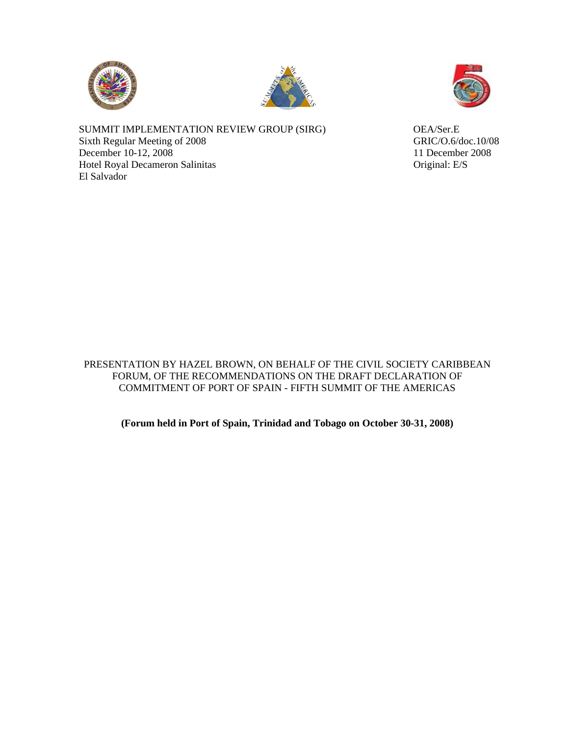





SUMMIT IMPLEMENTATION REVIEW GROUP (SIRG) OEA/Ser.E Sixth Regular Meeting of 2008 GRIC/O.6/doc.10/08 December 10-12, 2008 11 December 2008 Hotel Royal Decameron Salinitas **Original: E/S** El Salvador

PRESENTATION BY HAZEL BROWN, ON BEHALF OF THE CIVIL SOCIETY CARIBBEAN FORUM, OF THE RECOMMENDATIONS ON THE DRAFT DECLARATION OF COMMITMENT OF PORT OF SPAIN - FIFTH SUMMIT OF THE AMERICAS

**(Forum held in Port of Spain, Trinidad and Tobago on October 30-31, 2008)**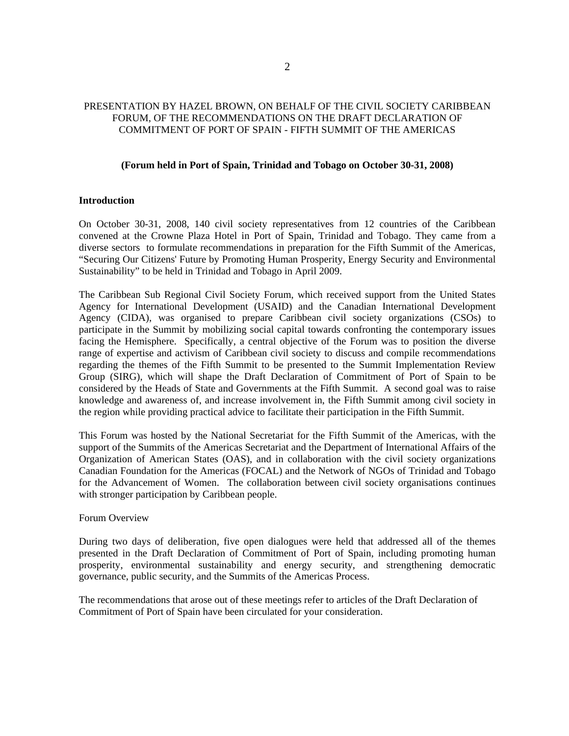# PRESENTATION BY HAZEL BROWN, ON BEHALF OF THE CIVIL SOCIETY CARIBBEAN FORUM, OF THE RECOMMENDATIONS ON THE DRAFT DECLARATION OF COMMITMENT OF PORT OF SPAIN - FIFTH SUMMIT OF THE AMERICAS

#### **(Forum held in Port of Spain, Trinidad and Tobago on October 30-31, 2008)**

### **Introduction**

On October 30-31, 2008, 140 civil society representatives from 12 countries of the Caribbean convened at the Crowne Plaza Hotel in Port of Spain, Trinidad and Tobago. They came from a diverse sectors to formulate recommendations in preparation for the Fifth Summit of the Americas, "Securing Our Citizens' Future by Promoting Human Prosperity, Energy Security and Environmental Sustainability" to be held in Trinidad and Tobago in April 2009.

The Caribbean Sub Regional Civil Society Forum, which received support from the United States Agency for International Development (USAID) and the Canadian International Development Agency (CIDA), was organised to prepare Caribbean civil society organizations (CSOs) to participate in the Summit by mobilizing social capital towards confronting the contemporary issues facing the Hemisphere. Specifically, a central objective of the Forum was to position the diverse range of expertise and activism of Caribbean civil society to discuss and compile recommendations regarding the themes of the Fifth Summit to be presented to the Summit Implementation Review Group (SIRG), which will shape the Draft Declaration of Commitment of Port of Spain to be considered by the Heads of State and Governments at the Fifth Summit. A second goal was to raise knowledge and awareness of, and increase involvement in, the Fifth Summit among civil society in the region while providing practical advice to facilitate their participation in the Fifth Summit.

This Forum was hosted by the National Secretariat for the Fifth Summit of the Americas, with the support of the Summits of the Americas Secretariat and the Department of International Affairs of the Organization of American States (OAS), and in collaboration with the civil society organizations Canadian Foundation for the Americas (FOCAL) and the Network of NGOs of Trinidad and Tobago for the Advancement of Women. The collaboration between civil society organisations continues with stronger participation by Caribbean people.

#### Forum Overview

During two days of deliberation, five open dialogues were held that addressed all of the themes presented in the Draft Declaration of Commitment of Port of Spain, including promoting human prosperity, environmental sustainability and energy security, and strengthening democratic governance, public security, and the Summits of the Americas Process.

The recommendations that arose out of these meetings refer to articles of the Draft Declaration of Commitment of Port of Spain have been circulated for your consideration.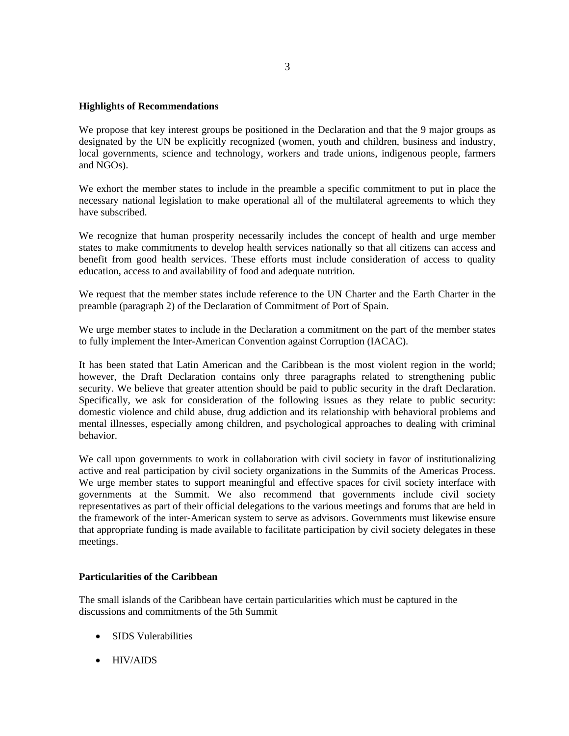## **Highlights of Recommendations**

We propose that key interest groups be positioned in the Declaration and that the 9 major groups as designated by the UN be explicitly recognized (women, youth and children, business and industry, local governments, science and technology, workers and trade unions, indigenous people, farmers and NGOs).

We exhort the member states to include in the preamble a specific commitment to put in place the necessary national legislation to make operational all of the multilateral agreements to which they have subscribed.

We recognize that human prosperity necessarily includes the concept of health and urge member states to make commitments to develop health services nationally so that all citizens can access and benefit from good health services. These efforts must include consideration of access to quality education, access to and availability of food and adequate nutrition.

We request that the member states include reference to the UN Charter and the Earth Charter in the preamble (paragraph 2) of the Declaration of Commitment of Port of Spain.

We urge member states to include in the Declaration a commitment on the part of the member states to fully implement the Inter-American Convention against Corruption (IACAC).

It has been stated that Latin American and the Caribbean is the most violent region in the world; however, the Draft Declaration contains only three paragraphs related to strengthening public security. We believe that greater attention should be paid to public security in the draft Declaration. Specifically, we ask for consideration of the following issues as they relate to public security: domestic violence and child abuse, drug addiction and its relationship with behavioral problems and mental illnesses, especially among children, and psychological approaches to dealing with criminal behavior.

We call upon governments to work in collaboration with civil society in favor of institutionalizing active and real participation by civil society organizations in the Summits of the Americas Process. We urge member states to support meaningful and effective spaces for civil society interface with governments at the Summit. We also recommend that governments include civil society representatives as part of their official delegations to the various meetings and forums that are held in the framework of the inter-American system to serve as advisors. Governments must likewise ensure that appropriate funding is made available to facilitate participation by civil society delegates in these meetings.

### **Particularities of the Caribbean**

The small islands of the Caribbean have certain particularities which must be captured in the discussions and commitments of the 5th Summit

- SIDS Vulerabilities
- HIV/AIDS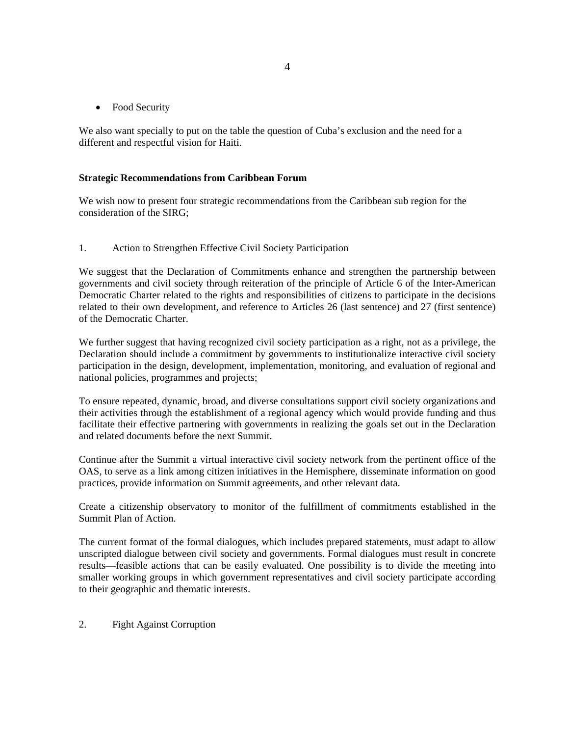• Food Security

We also want specially to put on the table the question of Cuba's exclusion and the need for a different and respectful vision for Haiti.

### **Strategic Recommendations from Caribbean Forum**

We wish now to present four strategic recommendations from the Caribbean sub region for the consideration of the SIRG;

1. Action to Strengthen Effective Civil Society Participation

We suggest that the Declaration of Commitments enhance and strengthen the partnership between governments and civil society through reiteration of the principle of Article 6 of the Inter-American Democratic Charter related to the rights and responsibilities of citizens to participate in the decisions related to their own development, and reference to Articles 26 (last sentence) and 27 (first sentence) of the Democratic Charter.

We further suggest that having recognized civil society participation as a right, not as a privilege, the Declaration should include a commitment by governments to institutionalize interactive civil society participation in the design, development, implementation, monitoring, and evaluation of regional and national policies, programmes and projects;

To ensure repeated, dynamic, broad, and diverse consultations support civil society organizations and their activities through the establishment of a regional agency which would provide funding and thus facilitate their effective partnering with governments in realizing the goals set out in the Declaration and related documents before the next Summit.

Continue after the Summit a virtual interactive civil society network from the pertinent office of the OAS, to serve as a link among citizen initiatives in the Hemisphere, disseminate information on good practices, provide information on Summit agreements, and other relevant data.

Create a citizenship observatory to monitor of the fulfillment of commitments established in the Summit Plan of Action.

The current format of the formal dialogues, which includes prepared statements, must adapt to allow unscripted dialogue between civil society and governments. Formal dialogues must result in concrete results—feasible actions that can be easily evaluated. One possibility is to divide the meeting into smaller working groups in which government representatives and civil society participate according to their geographic and thematic interests.

2. Fight Against Corruption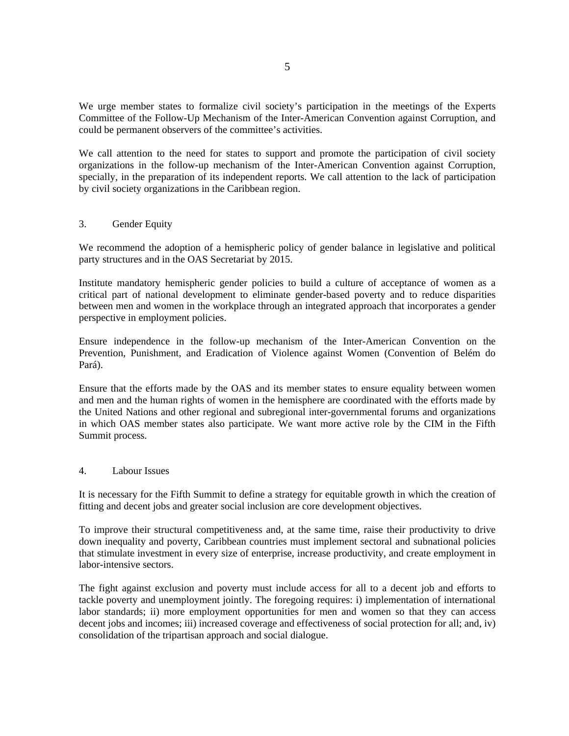We urge member states to formalize civil society's participation in the meetings of the Experts Committee of the Follow-Up Mechanism of the Inter-American Convention against Corruption, and could be permanent observers of the committee's activities.

We call attention to the need for states to support and promote the participation of civil society organizations in the follow-up mechanism of the Inter-American Convention against Corruption, specially, in the preparation of its independent reports. We call attention to the lack of participation by civil society organizations in the Caribbean region.

### 3. Gender Equity

We recommend the adoption of a hemispheric policy of gender balance in legislative and political party structures and in the OAS Secretariat by 2015.

Institute mandatory hemispheric gender policies to build a culture of acceptance of women as a critical part of national development to eliminate gender-based poverty and to reduce disparities between men and women in the workplace through an integrated approach that incorporates a gender perspective in employment policies.

Ensure independence in the follow-up mechanism of the Inter-American Convention on the Prevention, Punishment, and Eradication of Violence against Women (Convention of Belém do Pará).

Ensure that the efforts made by the OAS and its member states to ensure equality between women and men and the human rights of women in the hemisphere are coordinated with the efforts made by the United Nations and other regional and subregional inter-governmental forums and organizations in which OAS member states also participate. We want more active role by the CIM in the Fifth Summit process.

#### 4. Labour Issues

It is necessary for the Fifth Summit to define a strategy for equitable growth in which the creation of fitting and decent jobs and greater social inclusion are core development objectives.

To improve their structural competitiveness and, at the same time, raise their productivity to drive down inequality and poverty, Caribbean countries must implement sectoral and subnational policies that stimulate investment in every size of enterprise, increase productivity, and create employment in labor-intensive sectors.

The fight against exclusion and poverty must include access for all to a decent job and efforts to tackle poverty and unemployment jointly. The foregoing requires: i) implementation of international labor standards; ii) more employment opportunities for men and women so that they can access decent jobs and incomes; iii) increased coverage and effectiveness of social protection for all; and, iv) consolidation of the tripartisan approach and social dialogue.